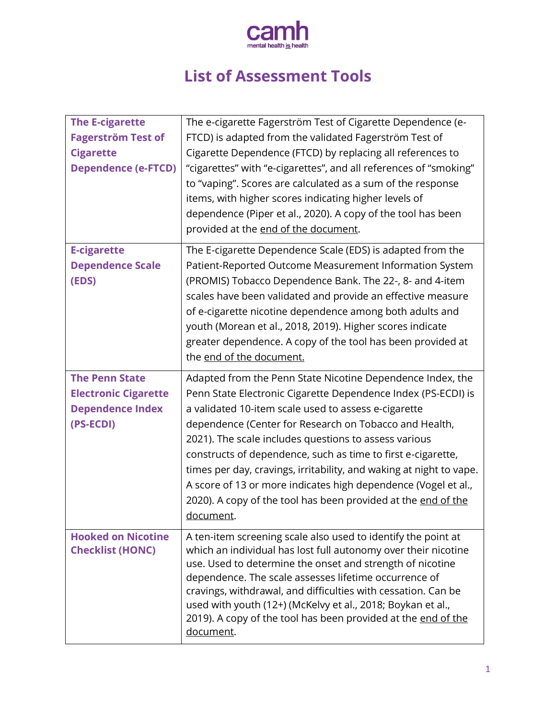

# **List of Assessment Tools**

| <b>The E-cigarette</b><br><b>Fagerström Test of</b><br><b>Cigarette</b><br><b>Dependence (e-FTCD)</b> | The e-cigarette Fagerström Test of Cigarette Dependence (e-<br>FTCD) is adapted from the validated Fagerström Test of<br>Cigarette Dependence (FTCD) by replacing all references to<br>"cigarettes" with "e-cigarettes", and all references of "smoking"<br>to "vaping". Scores are calculated as a sum of the response<br>items, with higher scores indicating higher levels of<br>dependence (Piper et al., 2020). A copy of the tool has been<br>provided at the end of the document.                                                                                                      |
|-------------------------------------------------------------------------------------------------------|-----------------------------------------------------------------------------------------------------------------------------------------------------------------------------------------------------------------------------------------------------------------------------------------------------------------------------------------------------------------------------------------------------------------------------------------------------------------------------------------------------------------------------------------------------------------------------------------------|
| <b>E-cigarette</b><br><b>Dependence Scale</b><br>(EDS)                                                | The E-cigarette Dependence Scale (EDS) is adapted from the<br>Patient-Reported Outcome Measurement Information System<br>(PROMIS) Tobacco Dependence Bank. The 22-, 8- and 4-item<br>scales have been validated and provide an effective measure<br>of e-cigarette nicotine dependence among both adults and<br>youth (Morean et al., 2018, 2019). Higher scores indicate<br>greater dependence. A copy of the tool has been provided at<br>the end of the document.                                                                                                                          |
| <b>The Penn State</b><br><b>Electronic Cigarette</b><br><b>Dependence Index</b><br>(PS-ECDI)          | Adapted from the Penn State Nicotine Dependence Index, the<br>Penn State Electronic Cigarette Dependence Index (PS-ECDI) is<br>a validated 10-item scale used to assess e-cigarette<br>dependence (Center for Research on Tobacco and Health,<br>2021). The scale includes questions to assess various<br>constructs of dependence, such as time to first e-cigarette,<br>times per day, cravings, irritability, and waking at night to vape.<br>A score of 13 or more indicates high dependence (Vogel et al.,<br>2020). A copy of the tool has been provided at the end of the<br>document. |
| <b>Hooked on Nicotine</b><br><b>Checklist (HONC)</b>                                                  | A ten-item screening scale also used to identify the point at<br>which an individual has lost full autonomy over their nicotine<br>use. Used to determine the onset and strength of nicotine<br>dependence. The scale assesses lifetime occurrence of<br>cravings, withdrawal, and difficulties with cessation. Can be<br>used with youth (12+) (McKelvy et al., 2018; Boykan et al.,<br>2019). A copy of the tool has been provided at the end of the<br>document.                                                                                                                           |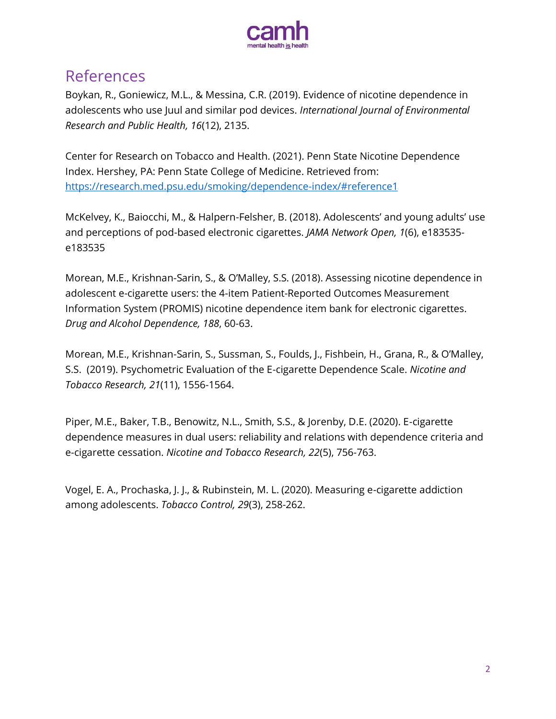

#### References

Boykan, R., Goniewicz, M.L., & Messina, C.R. (2019). Evidence of nicotine dependence in adolescents who use Juul and similar pod devices. *International Journal of Environmental Research and Public Health, 16*(12), 2135.

Center for Research on Tobacco and Health. (2021). Penn State Nicotine Dependence Index. Hershey, PA: Penn State College of Medicine. Retrieved from: <https://research.med.psu.edu/smoking/dependence-index/#reference1>

McKelvey, K., Baiocchi, M., & Halpern-Felsher, B. (2018). Adolescents' and young adults' use and perceptions of pod-based electronic cigarettes. *JAMA Network Open, 1*(6), e183535 e183535

Morean, M.E., Krishnan-Sarin, S., & O'Malley, S.S. (2018). Assessing nicotine dependence in adolescent e-cigarette users: the 4-item Patient-Reported Outcomes Measurement Information System (PROMIS) nicotine dependence item bank for electronic cigarettes. *Drug and Alcohol Dependence, 188*, 60-63.

Morean, M.E., Krishnan-Sarin, S., Sussman, S., Foulds, J., Fishbein, H., Grana, R., & O'Malley, S.S. (2019). Psychometric Evaluation of the E-cigarette Dependence Scale. *Nicotine and Tobacco Research, 21*(11), 1556-1564.

Piper, M.E., Baker, T.B., Benowitz, N.L., Smith, S.S., & Jorenby, D.E. (2020). E-cigarette dependence measures in dual users: reliability and relations with dependence criteria and e-cigarette cessation. *Nicotine and Tobacco Research, 22*(5), 756-763.

Vogel, E. A., Prochaska, J. J., & Rubinstein, M. L. (2020). Measuring e-cigarette addiction among adolescents. *Tobacco Control, 29*(3), 258-262.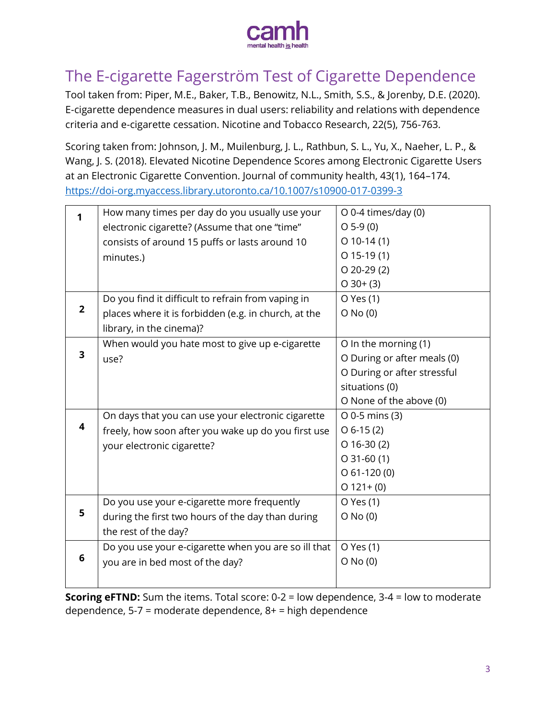

## <span id="page-2-0"></span>The E-cigarette Fagerström Test of Cigarette Dependence

Tool taken from: Piper, M.E., Baker, T.B., Benowitz, N.L., Smith, S.S., & Jorenby, D.E. (2020). E-cigarette dependence measures in dual users: reliability and relations with dependence criteria and e-cigarette cessation. Nicotine and Tobacco Research, 22(5), 756-763.

Scoring taken from: Johnson, J. M., Muilenburg, J. L., Rathbun, S. L., Yu, X., Naeher, L. P., & Wang, J. S. (2018). Elevated Nicotine Dependence Scores among Electronic Cigarette Users at an Electronic Cigarette Convention. Journal of community health, 43(1), 164–174. <https://doi-org.myaccess.library.utoronto.ca/10.1007/s10900-017-0399-3>

|                         | How many times per day do you usually use your       | O 0-4 times/day (0)         |
|-------------------------|------------------------------------------------------|-----------------------------|
|                         | electronic cigarette? (Assume that one "time"        | $O$ 5-9 $(0)$               |
|                         | consists of around 15 puffs or lasts around 10       | $O$ 10-14 $(1)$             |
|                         | minutes.)                                            | $O$ 15-19 $(1)$             |
|                         |                                                      | $O$ 20-29 $(2)$             |
|                         |                                                      | $O$ 30+ (3)                 |
|                         | Do you find it difficult to refrain from vaping in   | O Yes (1)                   |
| $\overline{2}$          | places where it is forbidden (e.g. in church, at the | $O$ No $(0)$                |
|                         | library, in the cinema)?                             |                             |
|                         | When would you hate most to give up e-cigarette      | O In the morning (1)        |
| $\overline{\mathbf{3}}$ | use?                                                 | O During or after meals (0) |
|                         |                                                      | O During or after stressful |
|                         |                                                      | situations (0)              |
|                         |                                                      | O None of the above (0)     |
|                         | On days that you can use your electronic cigarette   | $O$ 0-5 mins (3)            |
| 4                       | freely, how soon after you wake up do you first use  | $O 6-15(2)$                 |
|                         | your electronic cigarette?                           | $O$ 16-30 $(2)$             |
|                         |                                                      | $O$ 31-60 $(1)$             |
|                         |                                                      | $O$ 61-120 $(0)$            |
|                         |                                                      | $O$ 121+(0)                 |
|                         | Do you use your e-cigarette more frequently          | O Yes (1)                   |
| 5                       | during the first two hours of the day than during    | $O$ No $(0)$                |
|                         | the rest of the day?                                 |                             |
|                         | Do you use your e-cigarette when you are so ill that | O Yes (1)                   |
| 6                       | you are in bed most of the day?                      | $O$ No $(0)$                |
|                         |                                                      |                             |
|                         |                                                      |                             |

<span id="page-2-1"></span>**Scoring eFTND:** Sum the items. Total score: 0-2 = low dependence, 3-4 = low to moderate dependence, 5-7 = moderate dependence, 8+ = high dependence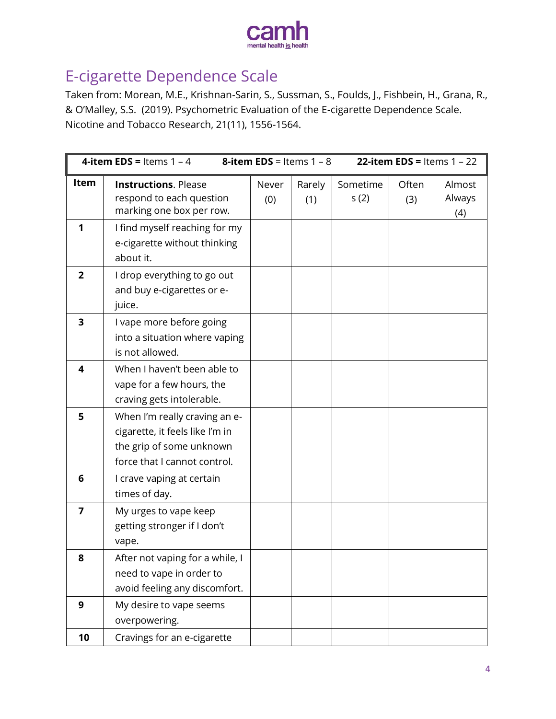

#### E-cigarette Dependence Scale

Taken from: Morean, M.E., Krishnan-Sarin, S., Sussman, S., Foulds, J., Fishbein, H., Grana, R., & O'Malley, S.S. (2019). Psychometric Evaluation of the E-cigarette Dependence Scale. Nicotine and Tobacco Research, 21(11), 1556-1564.

| <b>4-item EDS = Items 1 - 4</b> |                                                                                                                              | <b>8-item EDS</b> = Items $1 - 8$ |               | 22-item EDS = Items $1 - 22$ |              |                         |
|---------------------------------|------------------------------------------------------------------------------------------------------------------------------|-----------------------------------|---------------|------------------------------|--------------|-------------------------|
| Item                            | <b>Instructions. Please</b><br>respond to each question<br>marking one box per row.                                          | Never<br>(0)                      | Rarely<br>(1) | Sometime<br>s(2)             | Often<br>(3) | Almost<br>Always<br>(4) |
| 1                               | I find myself reaching for my<br>e-cigarette without thinking<br>about it.                                                   |                                   |               |                              |              |                         |
| $\overline{2}$                  | I drop everything to go out<br>and buy e-cigarettes or e-<br>juice.                                                          |                                   |               |                              |              |                         |
| 3                               | I vape more before going<br>into a situation where vaping<br>is not allowed.                                                 |                                   |               |                              |              |                         |
| 4                               | When I haven't been able to<br>vape for a few hours, the<br>craving gets intolerable.                                        |                                   |               |                              |              |                         |
| 5                               | When I'm really craving an e-<br>cigarette, it feels like I'm in<br>the grip of some unknown<br>force that I cannot control. |                                   |               |                              |              |                         |
| 6                               | I crave vaping at certain<br>times of day.                                                                                   |                                   |               |                              |              |                         |
| 7                               | My urges to vape keep<br>getting stronger if I don't<br>vape.                                                                |                                   |               |                              |              |                         |
| 8                               | After not vaping for a while, I<br>need to vape in order to<br>avoid feeling any discomfort.                                 |                                   |               |                              |              |                         |
| 9                               | My desire to vape seems<br>overpowering.                                                                                     |                                   |               |                              |              |                         |
| 10                              | Cravings for an e-cigarette                                                                                                  |                                   |               |                              |              |                         |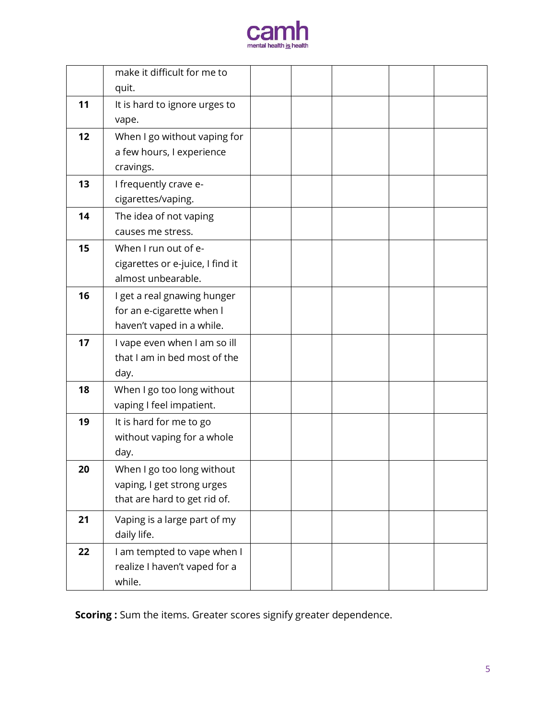

|    | make it difficult for me to      |  |  |  |
|----|----------------------------------|--|--|--|
|    | quit.                            |  |  |  |
| 11 | It is hard to ignore urges to    |  |  |  |
|    | vape.                            |  |  |  |
| 12 | When I go without vaping for     |  |  |  |
|    | a few hours, I experience        |  |  |  |
|    | cravings.                        |  |  |  |
| 13 | I frequently crave e-            |  |  |  |
|    | cigarettes/vaping.               |  |  |  |
| 14 | The idea of not vaping           |  |  |  |
|    | causes me stress.                |  |  |  |
| 15 | When I run out of e-             |  |  |  |
|    | cigarettes or e-juice, I find it |  |  |  |
|    | almost unbearable.               |  |  |  |
| 16 | I get a real gnawing hunger      |  |  |  |
|    | for an e-cigarette when I        |  |  |  |
|    | haven't vaped in a while.        |  |  |  |
| 17 | I vape even when I am so ill     |  |  |  |
|    | that I am in bed most of the     |  |  |  |
|    | day.                             |  |  |  |
| 18 | When I go too long without       |  |  |  |
|    | vaping I feel impatient.         |  |  |  |
| 19 | It is hard for me to go          |  |  |  |
|    | without vaping for a whole       |  |  |  |
|    | day.                             |  |  |  |
| 20 | When I go too long without       |  |  |  |
|    | vaping, I get strong urges       |  |  |  |
|    | that are hard to get rid of.     |  |  |  |
| 21 | Vaping is a large part of my     |  |  |  |
|    | daily life.                      |  |  |  |
| 22 | I am tempted to vape when I      |  |  |  |
|    | realize I haven't vaped for a    |  |  |  |
|    | while.                           |  |  |  |

**Scoring :** Sum the items. Greater scores signify greater dependence.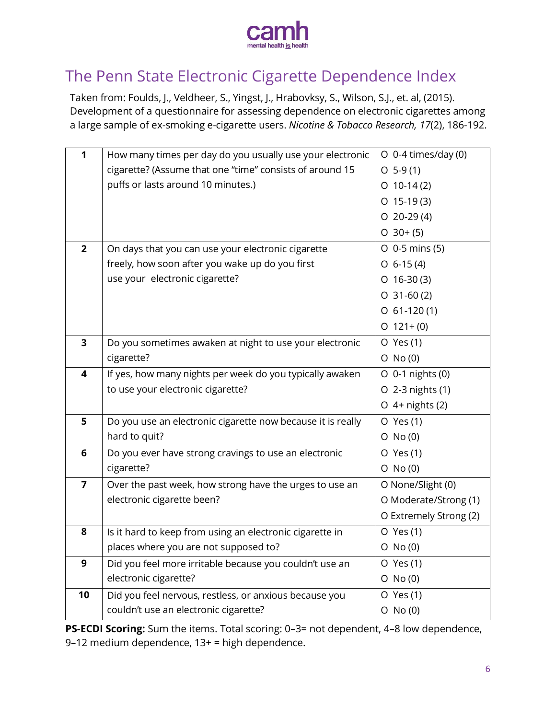

## <span id="page-5-0"></span>The Penn State Electronic Cigarette Dependence Index

Taken from: Foulds, J., Veldheer, S., Yingst, J., Hrabovksy, S., Wilson, S.J., et. al, (2015). Development of a questionnaire for assessing dependence on electronic cigarettes among a large sample of ex-smoking e-cigarette users. *Nicotine & Tobacco Research, 17*(2), 186-192.

| 1                       | How many times per day do you usually use your electronic   | $O$ 0-4 times/day (0)  |
|-------------------------|-------------------------------------------------------------|------------------------|
|                         | cigarette? (Assume that one "time" consists of around 15    | $O$ 5-9(1)             |
|                         | puffs or lasts around 10 minutes.)                          | $O$ 10-14(2)           |
|                         |                                                             | $O$ 15-19(3)           |
|                         |                                                             | $O$ 20-29 $(4)$        |
|                         |                                                             | $O$ 30+(5)             |
| $\overline{2}$          | On days that you can use your electronic cigarette          | $O$ 0-5 mins (5)       |
|                         | freely, how soon after you wake up do you first             | $O$ 6-15(4)            |
|                         | use your electronic cigarette?                              | $O$ 16-30(3)           |
|                         |                                                             | $O$ 31-60 $(2)$        |
|                         |                                                             | $O$ 61-120(1)          |
|                         |                                                             | $O$ 121+(0)            |
| $\overline{\mathbf{3}}$ | Do you sometimes awaken at night to use your electronic     | O Yes (1)              |
|                         | cigarette?                                                  | $O$ No $(0)$           |
| 4                       | If yes, how many nights per week do you typically awaken    | O 0-1 nights (0)       |
|                         | to use your electronic cigarette?                           | O 2-3 nights (1)       |
|                         |                                                             | $O$ 4+ nights (2)      |
| 5                       | Do you use an electronic cigarette now because it is really | O Yes (1)              |
|                         | hard to quit?                                               | $O$ No $(0)$           |
| $6\phantom{1}6$         | Do you ever have strong cravings to use an electronic       | O Yes (1)              |
|                         | cigarette?                                                  | $O$ No $(0)$           |
| $\overline{7}$          | Over the past week, how strong have the urges to use an     | O None/Slight (0)      |
|                         | electronic cigarette been?                                  | O Moderate/Strong (1)  |
|                         |                                                             | O Extremely Strong (2) |
| 8                       | Is it hard to keep from using an electronic cigarette in    | O Yes (1)              |
|                         | places where you are not supposed to?                       | $O$ No $(0)$           |
| 9                       | Did you feel more irritable because you couldn't use an     | O Yes (1)              |
|                         | electronic cigarette?                                       | $O$ No $(0)$           |
| 10                      | Did you feel nervous, restless, or anxious because you      | O Yes (1)              |
|                         | couldn't use an electronic cigarette?                       | $O$ No $(0)$           |

<span id="page-5-1"></span>**PS-ECDI Scoring:** Sum the items. Total scoring: 0-3= not dependent, 4-8 low dependence, 9–12 medium dependence, 13+ = high dependence.